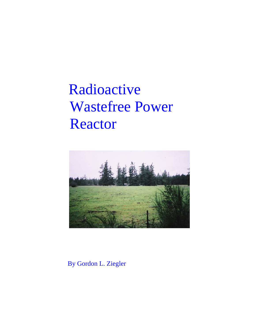# Radioactive Wastefree Power Reactor



By Gordon L. Ziegler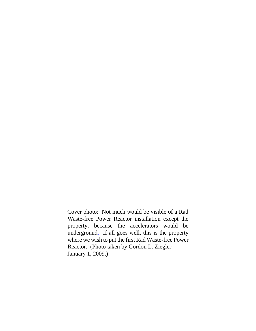Cover photo: Not much would be visible of a Rad Waste-free Power Reactor installation except the property, because the accelerators would be underground. If all goes well, this is the property where we wish to put the first Rad Waste-free Power Reactor. (Photo taken by Gordon L. Ziegler January 1, 2009.)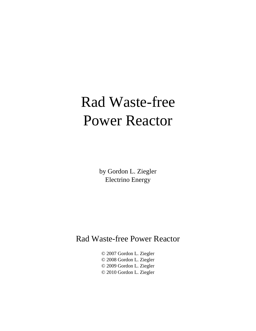# Rad Waste-free Power Reactor

by Gordon L. Ziegler Electrino Energy

# Rad Waste-free Power Reactor

© 2007 Gordon L. Ziegler © 2008 Gordon L. Ziegler © 2009 Gordon L. Ziegler © 2010 Gordon L. Ziegler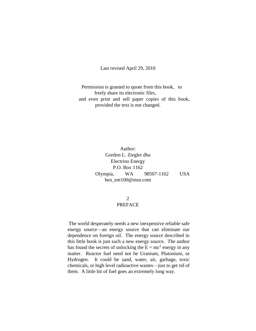Last revised April 29, 2010

Permission is granted to quote from this book, to freely share its electronic files, and even print and sell paper copies of this book, provided the text is not changed.

> Author: Gordon L. Ziegler dba Electrino Energy P.O. Box 1162 Olympia, WA 98507-1162 USA ben\_ent100@msn.com

#### 2 PREFACE

The world desperately needs a new inexpensive reliable safe energy source—an energy source that can eliminate our dependence on foreign oil. The energy source described in this little book is just such a new energy source. The author has found the secrets of unlocking the  $E = mc^2$  energy in any matter. Reactor fuel need not be Uranium, Plutonium, or Hydrogen. It could be sand, water, air, garbage, toxic chemicals, or high level radioactive wastes—just to get rid of them. A little bit of fuel goes an extremely long way.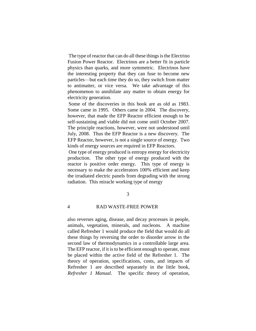The type of reactor that can do all these things is the Electrino Fusion Power Reactor. Electrinos are a better fit in particle physics than quarks, and more symmetric. Electrinos have the interesting property that they can fuse to become new particles—but each time they do so, they switch from matter to antimatter, or vice versa. We take advantage of this phenomenon to annihilate any matter to obtain energy for electricity generation.

Some of the discoveries in this book are as old as 1983. Some came in 1995. Others came in 2004. The discovery, however, that made the EFP Reactor efficient enough to be self-sustaining and viable did not come until October 2007. The principle reactions, however, were not understood until July, 2008. Thus the EFP Reactor is a new discovery. The EFP Reactor, however, is not a single source of energy. Two kinds of energy sources are required in EFP Reactors.

One type of energy produced is entropy energy for electricity production. The other type of energy produced with the reactor is positive order energy. This type of energy is necessary to make the accelerators 100% efficient and keep the irradiated electric panels from degrading with the strong radiation. This miracle working type of energy

#### 4 RAD WASTE-FREE POWER

also reverses aging, disease, and decay processes in people, animals, vegetation, minerals, and nucleons. A machine called Refresher 1 would produce the field that would do all these things by reversing the order to disorder arrow in the second law of thermodynamics in a controllable large area. The EFP reactor, if it is to be efficient enough to operate, must be placed within the active field of the Refresher 1. The theory of operation, specifications, costs, and impacts of Refresher 1 are described separately in the little book, *Refresher 1 Manual*. The specific theory of operation,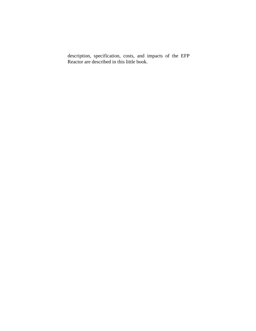description, specification, costs, and impacts of the EFP Reactor are described in this little book.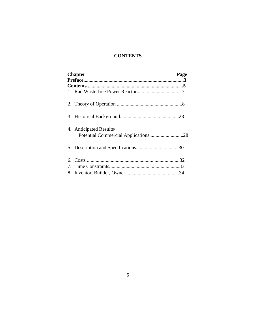# **CONTENTS**

| <b>Chapter</b> |                         | Page |
|----------------|-------------------------|------|
|                |                         |      |
|                |                         |      |
|                |                         |      |
|                |                         |      |
|                | 4. Anticipated Results/ |      |
|                |                         |      |
|                |                         |      |
|                |                         |      |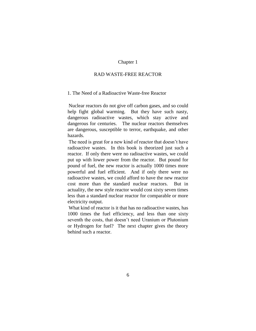#### RAD WASTE-FREE REACTOR

#### 1. The Need of a Radioactive Waste-free Reactor

Nuclear reactors do not give off carbon gases, and so could help fight global warming. But they have such nasty, dangerous radioactive wastes, which stay active and dangerous for centuries. The nuclear reactors themselves are dangerous, susceptible to terror, earthquake, and other hazards.

The need is great for a new kind of reactor that doesn't have radioactive wastes. In this book is theorized just such a reactor. If only there were no radioactive wastes, we could put up with lower power from the reactor. But pound for pound of fuel, the new reactor is actually 1000 times more powerful and fuel efficient. And if only there were no radioactive wastes, we could afford to have the new reactor cost more than the standard nuclear reactors. But in actuality, the new style reactor would cost sixty seven times less than a standard nuclear reactor for comparable or more electricity output.

What kind of reactor is it that has no radioactive wastes, has 1000 times the fuel efficiency, and less than one sixty seventh the costs, that doesn't need Uranium or Plutonium or Hydrogen for fuel? The next chapter gives the theory behind such a reactor.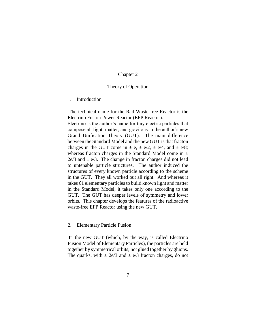#### Theory of Operation

1. Introduction

The technical name for the Rad Waste-free Reactor is the Electrino Fusion Power Reactor (EFP Reactor).

Electrino is the author's name for tiny electric particles that compose all light, matter, and gravitons in the author's new Grand Unification Theory (GUT). The main difference between the Standard Model and the new GUT is that fracton charges in the GUT come in  $\pm$  e,  $\pm$  e/2,  $\pm$  e/4, and  $\pm$  e/8; whereas fracton charges in the Standard Model come in  $\pm$  $2e/3$  and  $\pm e/3$ . The change in fracton charges did not lead to untenable particle structures. The author induced the structures of every known particle according to the scheme in the GUT. They all worked out all right. And whereas it takes 61 elementary particles to build known light and matter in the Standard Model, it takes only one according to the GUT. The GUT has deeper levels of symmetry and lower orbits. This chapter develops the features of the radioactive waste-free EFP Reactor using the new GUT.

#### 2. Elementary Particle Fusion

In the new GUT (which, by the way, is called Electrino Fusion Model of Elementary Particles), the particles are held together by symmetrical orbits, not glued together by gluons. The quarks, with  $\pm$  2e/3 and  $\pm$  e/3 fracton charges, do not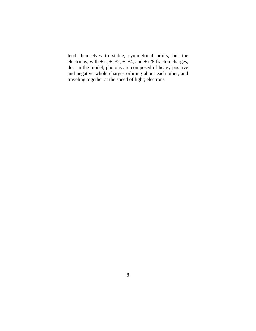lend themselves to stable, symmetrical orbits, but the electrinos, with  $\pm e$ ,  $\pm e/2$ ,  $\pm e/4$ , and  $\pm e/8$  fracton charges, do. In the model, photons are composed of heavy positive and negative whole charges orbiting about each other, and traveling together at the speed of light; electrons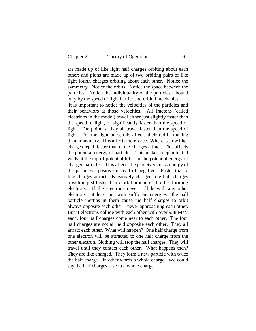#### Chapter 2 Theory of Operation 9

are made up of like light half charges orbiting about each other; and pions are made up of two orbiting pairs of like light fourth charges orbiting about each other. Notice the symmetry. Notice the orbits. Notice the space between the particles. Notice the individuality of the particles—bound only by the speed of light barrier and orbital mechanics.

It is important to notice the velocities of the particles and their behaviors at those velocities. All fractons (called electrinos in the model) travel either just slightly faster than the speed of light, or significantly faster than the speed of light. The point is, they all travel faster than the speed of light. For the light ones, this affects their radii—making them imaginary. This affects their force. Whereas slow likecharges repel, faster than c like-charges attract. This affects the potential energy of particles. This makes deep potential wells at the top of potential hills for the potential energy of charged particles. This affects the perceived mass-energy of the particles—positive instead of negative. Faster than c like-charges attract. Negatively charged like half charges traveling just faster than c orbit around each other forming electrons. If the electrons never collide with any other electrons—at least not with sufficient energies—the half particle inertias in them cause the half charges to orbit always opposite each other—never approaching each other. But if electrons collide with each other with over 938 MeV each, four half charges come near to each other. The four half charges are not all held opposite each other. They all attract each other. What will happen? One half charge from one electron will be attracted to one half charge from the other electron. Nothing will stop the half charges. They will travel until they contact each other. What happens then? They are like charged. They form a new particle with twice the half charge—in other words a whole charge. We could say the half charges fuse to a whole charge.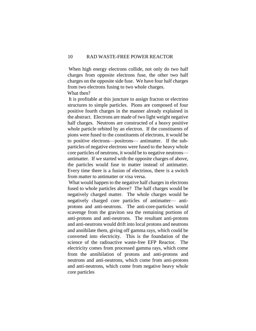#### 10 RAD WASTE-FREE POWER REACTOR

When high energy electrons collide, not only do two half charges from opposite electrons fuse, the other two half charges on the opposite side fuse. We have four half charges from two electrons fusing to two whole charges. What then?

It is profitable at this juncture to assign fracton or electrino structures to simple particles. Pions are composed of four positive fourth charges in the manner already explained in the abstract. Electrons are made of two light weight negative half charges. Neutrons are constructed of a heavy positive whole particle orbited by an electron. If the constituents of pions were fused to the constituents of electrons, it would be to positive electrons—positrons— antimatter. If the subparticles of negative electrons were fused to the heavy whole core particles of neutrons, it would be to negative neutrons antimatter. If we started with the opposite charges of above, the particles would fuse to matter instead of antimatter. Every time there is a fusion of electrinos, there is a switch from matter to antimatter or visa versa.

What would happen to the negative half charges in electrons fused to whole particles above? The half charges would be negatively charged matter. The whole charges would be negatively charged core particles of antimatter— antiprotons and anti-neutrons. The anti-core-particles would scavenge from the graviton sea the remaining portions of anti-protons and anti-neutrons. The resultant anti-protons and anti-neutrons would drift into local protons and neutrons and annihilate them, giving off gamma rays, which could be converted into electricity. This is the foundation of the science of the radioactive waste-free EFP Reactor. The electricity comes from processed gamma rays, which come from the annihilation of protons and anti-protons and neutrons and anti-neutrons, which come from anti-protons and anti-neutrons, which come from negative heavy whole core particles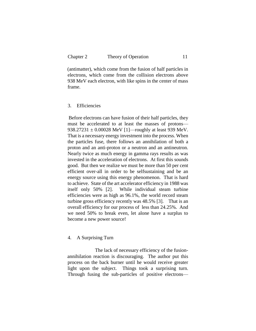(antimatter), which come from the fusion of half particles in electrons, which come from the collision electrons above 938 MeV each electron, with like spins in the center of mass frame.

#### 3. Efficiencies

Before electrons can have fusion of their half particles, they must be accelerated to at least the masses of protons— 938.27231  $\pm$  0.00028 MeV [1]—roughly at least 939 MeV. That is a necessary energy investment into the process. When the particles fuse, there follows an annihilation of both a proton and an anti-proton or a neutron and an antineutron. Nearly twice as much energy in gamma rays results as was invested in the acceleration of electrons. At first this sounds good. But then we realize we must be more than 50 per cent efficient over-all in order to be selfsustaining and be an energy source using this energy phenomenon. That is hard to achieve. State of the art accelerator efficiency in 1988 was itself only 50% [2]. While individual steam turbine efficiencies were as high as 96.1%, the world record steam turbine gross efficiency recently was 48.5% [3]. That is an overall efficiency for our process of less than 24.25%. And we need 50% to break even, let alone have a surplus to become a new power source!

#### 4. A Surprising Turn

The lack of necessary efficiency of the fusionannihilation reaction is discouraging. The author put this process on the back burner until he would receive greater light upon the subject. Things took a surprising turn. Through fusing the sub-particles of positive electrons—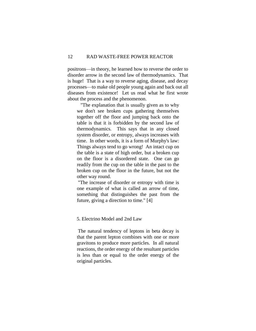#### 12 RAD WASTE-FREE POWER REACTOR

positrons—in theory, he learned how to reverse the order to disorder arrow in the second law of thermodynamics. That is huge! That is a way to reverse aging, disease, and decay processes—to make old people young again and back out all diseases from existence! Let us read what he first wrote about the process and the phenomenon.

 "The explanation that is usually given as to why we don't see broken cups gathering themselves together off the floor and jumping back onto the table is that it is forbidden by the second law of thermodynamics. This says that in any closed system disorder, or entropy, always increases with time. In other words, it is a form of Murphy's law: Things always tend to go wrong! An intact cup on the table is a state of high order, but a broken cup on the floor is a disordered state. One can go readily from the cup on the table in the past to the broken cup on the floor in the future, but not the other way round.

"The increase of disorder or entropy with time is one example of what is called an arrow of time, something that distinguishes the past from the future, giving a direction to time." [4]

#### 5. Electrino Model and 2nd Law

The natural tendency of leptons in beta decay is that the parent lepton combines with one or more gravitons to produce more particles. In all natural reactions, the order energy of the resultant particles is less than or equal to the order energy of the original particles.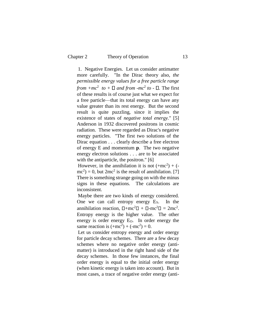#### Chapter 2 Theory of Operation 13

1. Negative Energies. Let us consider antimatter more carefully. "In the Dirac theory also, *the permissible energy values for a free particle range from*  $+mc^2$  *to*  $+ \square$  *and from*  $-mc^2$  *to*  $- \square$ . The first of these results is of course just what we expect for a free particle—that its total energy can have any value greater than its rest energy. But the second result is quite puzzling, since it implies the existence of states of *negative total energy.*" [5] Anderson in 1932 discovered positrons in cosmic radiation. These were regarded as Dirac's negative energy particles. "The first two solutions of the Dirac equation . . . clearly describe a free electron of energy E and momentum **p**. The two negative energy electron solutions . . . are to be associated with the antiparticle, the positron." [6]

However, in the annihilation it is not  $(+mc^2) + ($  $mc<sup>2</sup>$ ) = 0, but  $2mc<sup>2</sup>$  is the result of annihilation. [7] There is something strange going on with the minus signs in these equations. The calculations are inconsistent.

Maybe there are two kinds of energy considered. One we can call entropy energy ES. In the annihilation reaction,  $\Box + mc^2 \Box + \Box - mc^2 \Box = 2mc^2$ . Entropy energy is the higher value. The other energy is order energy  $E_0$ . In order energy the same reaction is  $(+mc^2) + (-mc^2) = 0$ .

Let us consider entropy energy and order energy for particle decay schemes. There are a few decay schemes where no negative order energy (antimatter) is introduced in the right hand side of the decay schemes. In those few instances, the final order energy is equal to the initial order energy (when kinetic energy is taken into account). But in most cases, a trace of negative order energy (anti-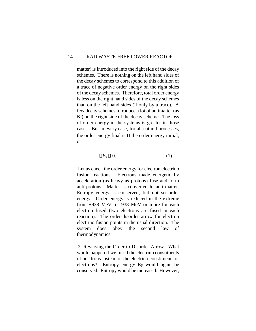#### 14 RAD WASTE-FREE POWER REACTOR

matter) is introduced into the right side of the decay schemes. There is nothing on the left hand sides of the decay schemes to correspond to this addition of a trace of negative order energy on the right sides of the decay schemes. Therefore, total order energy is less on the right hand sides of the decay schemes than on the left hand sides (if only by a trace). A few decay schemes introduce a lot of antimatter (as K - ) on the right side of the decay scheme. The loss of order energy in the systems is greater in those cases. But in every case, for all natural processes, the order energy final is  $\Box$  the order energy initial, or

$$
\Box E_0 \Box 0. \tag{1}
$$

Let us check the order energy for electron electrino fusion reactions. Electrons made energetic by acceleration (as heavy as protons) fuse and form anti-protons. Matter is converted to anti-matter. Entropy energy is conserved, but not so order energy. Order energy is reduced in the extreme from +938 MeV to -938 MeV or more for each electron fused (two electrons are fused in each reaction). The order-disorder arrow for electron electrino fusion points in the usual direction. The system does obey the second law of thermodynamics.

2. Reversing the Order to Disorder Arrow. What would happen if we fused the electrino constituents of positrons instead of the electrino constituents of electrons? Entropy energy E<sub>s</sub> would again be conserved. Entropy would be increased. However,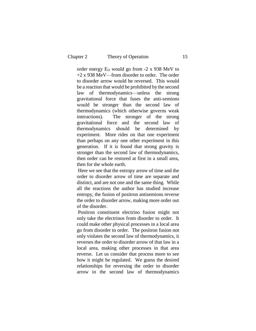#### Chapter 2 Theory of Operation 15

order energy  $E_0$  would go from  $-2 \times 938$  MeV to  $+2 \times 938$  MeV—from disorder to order. The order to disorder arrow would be reversed. This would be a reaction that would be prohibited by the second law of thermodynamics—unless the strong gravitational force that fuses the anti-semions would be stronger than the second law of thermodynamics (which otherwise governs weak interactions). The stronger of the strong gravitational force and the second law of thermodynamics should be determined by experiment. More rides on that one experiment than perhaps on any one other experiment in this generation. If it is found that strong gravity is stronger than the second law of thermodynamics, then order can be restored at first in a small area, then for the whole earth.

Here we see that the entropy arrow of time and the order to disorder arrow of time are separate and distinct, and are not one and the same thing. While all the reactions the author has studied increase entropy, the fusion of positron antisemions reverse the order to disorder arrow, making more order out of the disorder.

Positron constituent electrino fusion might not only take the electrinos from disorder to order. It could make other physical processes in a local area go from disorder to order. The positron fusion not only violates the second law of thermodynamics, it reverses the order to disorder arrow of that law in a local area, making other processes in that area reverse. Let us consider that process more to see how it might be regulated. We guess the desired relationships for reversing the order to disorder arrow in the second law of thermodynamics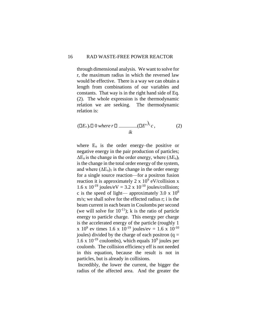#### 16 RAD WASTE-FREE POWER REACTOR

through dimensional analysis. We want to solve for r, the maximum radius in which the reversed law would be effective. There is a way we can obtain a length from combinations of our variables and constants. That way is in the right hand side of Eq. (2). The whole expression is the thermodynamic relation we are seeking. The thermodynamic relation is:

$$
(\Box E_o)_t \Box \ 0 \ where \ r \ \Box \ \underline{\hspace{2cm}} (\Box E^{o})_1 c \ , \qquad \qquad (2)
$$

where  $E_0$  is the order energy–the positive or negative energy in the pair production of particles;  $\Delta E_0$  is the change in the order energy, where  $(\Delta E_0)_t$ is the change in the total order energy of the system, and where  $(\Delta E_0)_1$  is the change in the order energy for a single source reaction—for a positron fusion reaction it is approximately 2 x  $10^9$  eV/collision x 1.6 x 10<sup>-19</sup> joules/eV = 3.2 x 10<sup>-10</sup> joules/collision; c is the speed of light— approximately  $3.0 \times 10^8$ m/s; we shall solve for the effected radius r; i is the beam current in each beam in Coulombs per second (we will solve for  $10^{-11}$ ); k is the ratio of particle energy to particle charge. This energy per charge is the accelerated energy of the particle (roughly 1 x  $10^9$  ev times 1.6 x  $10^{-19}$  joules/ev = 1.6 x  $10^{-10}$ joules) divided by the charge of each positron  $(q =$ 1.6 x  $10^{-19}$  coulombs), which equals  $10^9$  joules per coulomb. The collision efficiency eff is not needed in this equation, because the result is not in particles, but is already in collisions.

Incredibly, the lower the current, the bigger the radius of the affected area. And the greater the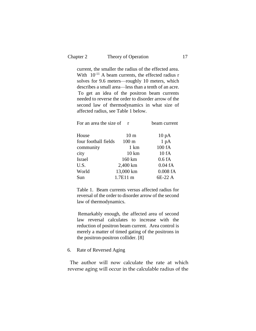current, the smaller the radius of the effected area. With  $10^{-11}$  A beam currents, the effected radius r solves for 9.6 meters—roughly 10 meters, which describes a small area—less than a tenth of an acre. To get an idea of the positron beam currents needed to reverse the order to disorder arrow of the second law of thermodynamics in what size of affected radius, see Table 1 below.

| For an area the size of r |                 | beam current    |
|---------------------------|-----------------|-----------------|
|                           |                 |                 |
| House                     | 10 <sub>m</sub> | $10 \text{ pA}$ |
| four football fields      | $100 \text{ m}$ | 1 <sub>pA</sub> |
| community                 | 1 km            | 100 fA          |
| city                      | $10 \text{ km}$ | 10 fA           |
| <b>Israel</b>             | 160 km          | 0.6fA           |
| U.S.                      | 2,400 km        | $0.04$ fA       |
| World                     | 13,000 km       | $0.008$ fA      |
| Sun                       | 1.7E11 m        | 6E-22 A         |

Table 1. Beam currents versus affected radius for reversal of the order to disorder arrow of the second law of thermodynamics.

Remarkably enough, the affected area of second law reversal calculates to increase with the reduction of positron beam current. Area control is merely a matter of timed gating of the positrons in the positron-positron collider. [8]

#### 6. Rate of Reversed Aging

 The author will now calculate the rate at which reverse aging will occur in the calculable radius of the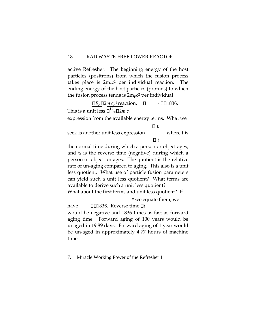active Refresher: The beginning energy of the host particles (positrons) from which the fusion process takes place is  $2m_ec^2$  per individual reaction. The ending energy of the host particles (protons) to which the fusion process tends is  $2m_pc^2$  per individual

 $E_p \Box 2m c_p^2$  reaction.  $\Box$  2  $\Box$ 1836. This is a unit less  $\overline{\Box^{E}}_{e^{\Box}}\overline{\Box^{2}m}$   $c_{e^{\Diamond}}$ expression from the available energy terms. What we  $\prod t_r$ 

seek is another unit less expression \_\_\_\_\_\_, where t is  $\prod t$ 

the normal time during which a person or object ages, and  $t_r$  is the reverse time (negative) during which a person or object un-ages. The quotient is the relative rate of un-aging compared to aging. This also is a unit less quotient. What use of particle fusion parameters can yield such a unit less quotient? What terms are available to derive such a unit less quotient?

What about the first terms and unit less quotient? If

*t <sup>r</sup>*we equate them, we

have 1836. Reverse time *t* would be negative and 1836 times as fast as forward aging time. Forward aging of 100 years would be unaged in 19.89 days. Forward aging of 1 year would be un-aged in approximately 4.77 hours of machine time.

7. Miracle Working Power of the Refresher 1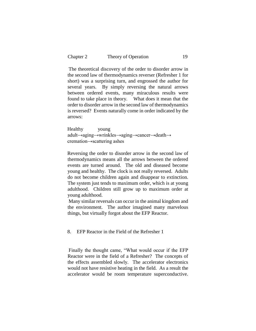| Chapter 2 | Theory of Operation | 19 |
|-----------|---------------------|----|
|-----------|---------------------|----|

The theoretical discovery of the order to disorder arrow in the second law of thermodynamics reverser (Refresher 1 for short) was a surprising turn, and engrossed the author for several years. By simply reversing the natural arrows between ordered events, many miraculous results were found to take place in theory. What does it mean that the order to disorder arrow in the second law of thermodynamics is reversed? Events naturally come in order indicated by the arrows:

Healthy young adult→aging→wrinkles→aging→cancer→death→ cremation→scattering ashes

Reversing the order to disorder arrow in the second law of thermodynamics means all the arrows between the ordered events are turned around. The old and diseased become young and healthy. The clock is not really reversed. Adults do not become children again and disappear to extinction. The system just tends to maximum order, which is at young adulthood. Children still grow up to maximum order at young adulthood.

Many similar reversals can occur in the animal kingdom and the environment. The author imagined many marvelous things, but virtually forgot about the EFP Reactor.

#### 8. EFP Reactor in the Field of the Refresher 1

Finally the thought came, "What would occur if the EFP Reactor were in the field of a Refresher? The concepts of the effects assembled slowly. The accelerator electronics would not have resistive heating in the field. As a result the accelerator would be room temperature superconductive.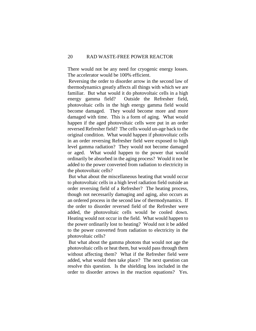#### 20 RAD WASTE-FREE POWER REACTOR

There would not be any need for cryogenic energy losses. The accelerator would be 100% efficient.

Reversing the order to disorder arrow in the second law of thermodynamics greatly affects all things with which we are familiar. But what would it do photovoltaic cells in a high energy gamma field? Outside the Refresher field, photovoltaic cells in the high energy gamma field would become damaged. They would become more and more damaged with time. This is a form of aging. What would happen if the aged photovoltaic cells were put in an order reversed Refresher field? The cells would un-age back to the original condition. What would happen if photovoltaic cells in an order reversing Refresher field were exposed to high level gamma radiation? They would not become damaged or aged. What would happen to the power that would ordinarily be absorbed in the aging process? Would it not be added to the power converted from radiation to electricity in the photovoltaic cells?

But what about the miscellaneous heating that would occur to photovoltaic cells in a high level radiation field outside an order reversing field of a Refresher? The heating process, though not necessarily damaging and aging, also occurs as an ordered process in the second law of thermodynamics. If the order to disorder reversed field of the Refresher were added, the photovoltaic cells would be cooled down. Heating would not occur in the field. What would happen to the power ordinarily lost to heating? Would not it be added to the power converted from radiation to electricity in the photovoltaic cells?

But what about the gamma photons that would not age the photovoltaic cells or heat them, but would pass through them without affecting them? What if the Refresher field were added, what would then take place? The next question can resolve this question. Is the shielding loss included in the order to disorder arrows in the reaction equations? Yes.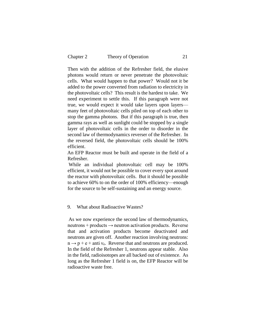Then with the addition of the Refresher field, the elusive photons would return or never penetrate the photovoltaic cells. What would happen to that power? Would not it be added to the power converted from radiation to electricity in the photovoltaic cells? This result is the hardest to take. We need experiment to settle this. If this paragraph were not true, we would expect it would take layers upon layers many feet of photovoltaic cells piled on top of each other to stop the gamma photons. But if this paragraph is true, then gamma rays as well as sunlight could be stopped by a single layer of photovoltaic cells in the order to disorder in the second law of thermodynamics reverser of the Refresher. In the reversed field, the photovoltaic cells should be 100% efficient.

An EFP Reactor must be built and operate in the field of a Refresher.

While an individual photovoltaic cell may be 100% efficient, it would not be possible to cover every spot around the reactor with photovoltaic cells. But it should be possible to achieve 60% to on the order of 100% efficiency—enough for the source to be self-sustaining and an energy source.

#### 9. What about Radioactive Wastes?

As we now experience the second law of thermodynamics,  $neutrons + products \rightarrow neutron activation products$ . Reverse that and activation products become deactivated and neutrons are given off. Another reaction involving neutrons:  $n \rightarrow p + e +$  anti  $v_e$ . Reverse that and neutrons are produced. In the field of the Refresher 1, neutrons appear stable. Also in the field, radioisotopes are all backed out of existence. As long as the Refresher 1 field is on, the EFP Reactor will be radioactive waste free.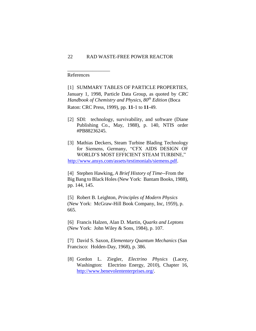#### 22 RAD WASTE-FREE POWER REACTOR

References

 $\overline{\phantom{a}}$  , where  $\overline{\phantom{a}}$ 

[1] SUMMARY TABLES OF PARTICLE PROPERTIES, January 1, 1998, Particle Data Group, as quoted by *CRC Handbook of Chemistry and Physics, 80th Edition* (Boca Raton: CRC Press, 1999), pp. **11**-1 to **11**-49.

- [2] SDI: technology, survivability, and software (Diane Publishing Co., May, 1988), p. 140, NTIS order #PB88236245.
- [3] Mathias Deckers, Steam Turbine Blading Technology for Siemens, Germany, "CFX AIDS DESIGN OF WORLD'S MOST EFFICIENT STEAM TURBINE," [http://www.ansys.com/assets/testimonials/siemens.pdf.](http://www.ansys.com/assets/testimonials/siemens.pdf)

[4] Stephen Hawking, *A Brief History of Time*--From the Big Bang to Black Holes (New York: Bantam Books, 1988), pp. 144, 145.

[5] Robert B. Leighton, *Principles of Modern Physics* (New York: McGraw-Hill Book Company, Inc, 1959), p. 665.

[6] Francis Halzen, Alan D. Martin, *Quarks and Leptons* (New York: John Wiley & Sons, 1984), p. 107.

[7] David S. Saxon, *Elementary Quantum Mechanics* (San Francisco: Holden-Day, 1968), p. 386.

[8] Gordon L. Ziegler, *Electrino Physics* (Lacey, Washington: Electrino Energy, 2010), Chapter 16, [http://www.benevolententerprises.org/.](http://www.benevolententerprises.org/)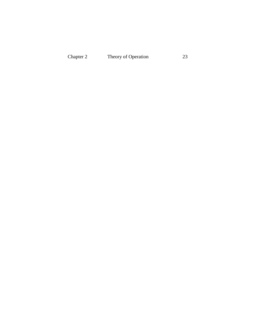Chapter 2 Theory of Operation 23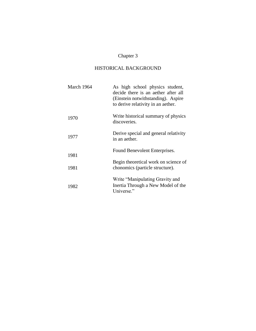# HISTORICAL BACKGROUND

| March 1964 | As high school physics student,<br>decide there is an aether after all<br>(Einstein notwithstanding). Aspire<br>to derive relativity in an aether. |
|------------|----------------------------------------------------------------------------------------------------------------------------------------------------|
| 1970       | Write historical summary of physics<br>discoveries.                                                                                                |
| 1977       | Derive special and general relativity<br>in an aether.                                                                                             |
| 1981       | Found Benevolent Enterprises.                                                                                                                      |
| 1981       | Begin theoretical work on science of<br>chonomics (particle structure).                                                                            |
| 1982       | Write "Manipulating Gravity and<br>Inertia Through a New Model of the<br>Universe."                                                                |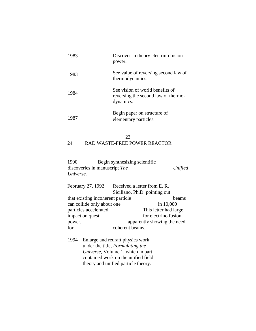| 1983 | Discover in theory electrino fusion<br>power.                                       |
|------|-------------------------------------------------------------------------------------|
| 1983 | See value of reversing second law of<br>thermodynamics.                             |
| 1984 | See vision of world benefits of<br>reversing the second law of thermo-<br>dynamics. |
| 1987 | Begin paper on structure of<br>elementary particles.                                |

### 23 24 RAD WASTE-FREE POWER REACTOR

| 1990      | Begin synthesizing scientific |         |
|-----------|-------------------------------|---------|
|           | discoveries in manuscript The | Unified |
| Universe. |                               |         |

| February 27, 1992                 |                 | Received a letter from E. R.  |       |
|-----------------------------------|-----------------|-------------------------------|-------|
|                                   |                 | Siciliano, Ph.D. pointing out |       |
| that existing incoherent particle |                 |                               | beams |
| can collide only about one        |                 | in 10,000                     |       |
| particles accelerated.            |                 | This letter had large         |       |
| impact on quest                   |                 | for electrino fusion          |       |
| power,                            |                 | apparently showing the need   |       |
| for                               | coherent beams. |                               |       |

1994 Enlarge and redraft physics work under the title, *Formulating the Universe*, Volume 1, which in part contained work on the unified field theory and unified particle theory.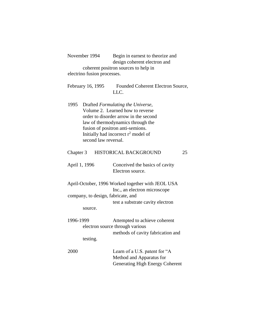| November 1994                        | Begin in earnest to theorize and |  |
|--------------------------------------|----------------------------------|--|
|                                      | design coherent electron and     |  |
| coherent positron sources to help in |                                  |  |
| electrino fusion processes.          |                                  |  |
|                                      |                                  |  |

February 16, 1995 Founded Coherent Electron Source, LLC.

1995 Drafted *Formulating the Universe*, Volume 2. Learned how to reverse order to disorder arrow in the second law of thermodynamics through the fusion of positron anti-semions. Initially had incorrect  $r^2$  model of second law reversal.

| Chapter 3                                                                                                               | HISTORICAL BACKGROUND                                                                                             | 25 |
|-------------------------------------------------------------------------------------------------------------------------|-------------------------------------------------------------------------------------------------------------------|----|
| April 1, 1996                                                                                                           | Conceived the basics of cavity<br>Electron source.                                                                |    |
| April-October, 1996 Worked together with JEOL USA<br>Inc., an electron microscope<br>company, to design, fabricate, and |                                                                                                                   |    |
|                                                                                                                         | test a substrate cavity electron<br>source.                                                                       |    |
| 1996-1999                                                                                                               | Attempted to achieve coherent<br>electron source through various<br>methods of cavity fabrication and<br>testing. |    |
| 2000                                                                                                                    | Learn of a U.S. patent for "A<br>Method and Apparatus for<br><b>Generating High Energy Coherent</b>               |    |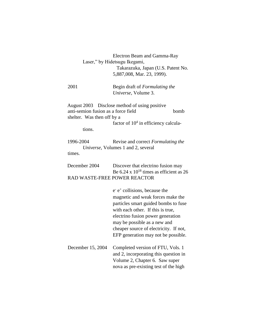Electron Beam and Gamma-Ray Laser," by Hidetsugu Ikegami, Takarazuka, Japan (U.S. Patent No. 5,887,008, Mar. 23, 1999).

| 2001 | Begin draft of <i>Formulating the</i> |
|------|---------------------------------------|
|      | <i>Universe</i> , Volume 3.           |

August 2003 Disclose method of using positive anti-semion fusion as a force field bomb shelter. Was then off by a factor of  $10<sup>4</sup>$  in efficiency calculations.

1996-2004 Revise and correct *Formulating the Universe*, Volumes 1 and 2, several times.

December 2004 Discover that electrino fusion may Be  $6.24 \times 10^{18}$  times as efficient as 26 RAD WASTE-FREE POWER REACTOR

> e<sup>-</sup> e<sup>+</sup> collisions, because the magnetic and weak forces make the particles smart guided bombs to fuse with each other. If this is true, electrino fusion power generation may be possible as a new and cheaper source of electricity. If not, EFP generation may not be possible.

December 15, 2004 Completed version of FTU, Vols. 1 and 2, incorporating this question in Volume 2, Chapter 6. Saw super nova as pre-existing test of the high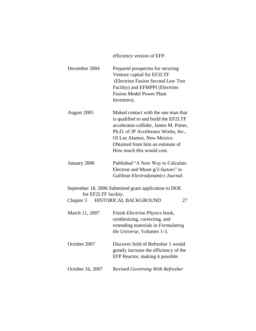efficiency version of EFP.

| December 2004                                                                 | Prepared prospectus for securing<br>Venture capital for EF2LTF<br>(Electrino Fusion Second Law Test<br>Facility) and EFMPPI (Electrino<br><b>Fusion Model Power Plant</b><br>Inventors).                                                                     |  |
|-------------------------------------------------------------------------------|--------------------------------------------------------------------------------------------------------------------------------------------------------------------------------------------------------------------------------------------------------------|--|
| August 2005                                                                   | Maked contact with the one man that<br>is qualified to and build the EF2LTF<br>accelerator-collider, James M. Potter,<br>Ph.D. of JP Accelerator Works, Inc.,<br>Of Los Alamos, New Mexico.<br>Obtained from him an estimate of<br>How much this would cost. |  |
| January 2006                                                                  | Published "A New Way to Calculate"<br>Electron and Muon $g/2$ -factors" in<br>Galilean Electrodynamics Journal.                                                                                                                                              |  |
| September 18, 2006 Submitted grant application to DOE<br>for EF2LTF facility. |                                                                                                                                                                                                                                                              |  |
| Chapter 3                                                                     | HISTORICAL BACKGROUND<br>27                                                                                                                                                                                                                                  |  |
| March 11, 2007                                                                | Finish Electrino Physics book,<br>synthesizing, correcting, and<br>extending materials in Formulating<br>the Universe, Volumes 1-3.                                                                                                                          |  |
| October 2007                                                                  | Discover field of Refresher 1 would<br>greatly increase the efficiency of the<br>EFP Reactor, making it possible.                                                                                                                                            |  |
| October 16, 2007                                                              | Revised Governing With Refresher                                                                                                                                                                                                                             |  |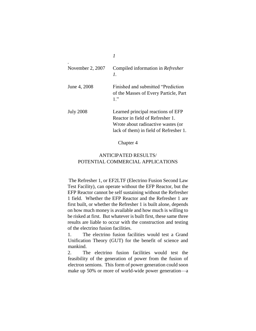| November 2, 2007 | Compiled information in Refresher<br>I.                                                                                                                |
|------------------|--------------------------------------------------------------------------------------------------------------------------------------------------------|
| June 4, 2008     | Finished and submitted "Prediction"<br>of the Masses of Every Particle, Part<br>1"                                                                     |
| <b>July 2008</b> | Learned principal reactions of EFP<br>Reactor in field of Refresher 1.<br>Wrote about radioactive wastes (or<br>lack of them) in field of Refresher 1. |

### ANTICIPATED RESULTS/ POTENTIAL COMMERCIAL APPLICATIONS

The Refresher 1, or EF2LTF (Electrino Fusion Second Law Test Facility), can operate without the EFP Reactor, but the EFP Reactor cannot be self sustaining without the Refresher 1 field. Whether the EFP Reactor and the Refresher 1 are first built, or whether the Refresher 1 is built alone, depends on how much money is available and how much is willing to be risked at first. But whatever is built first, these same three results are liable to occur with the construction and testing of the electrino fusion facilities.

1. The electrino fusion facilities would test a Grand Unification Theory (GUT) for the benefit of science and mankind.

2. The electrino fusion facilities would test the feasibility of the generation of power from the fusion of electron semions. This form of power generation could soon make up 50% or more of world-wide power generation—a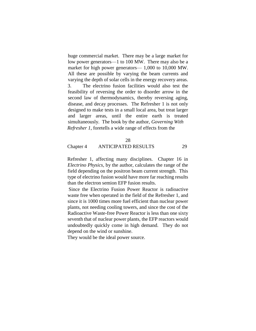huge commercial market. There may be a large market for low power generators—1 to 100 MW. There may also be a market for high power generators— 1,000 to 10,000 MW. All these are possible by varying the beam currents and varying the depth of solar cells in the energy recovery areas. 3. The electrino fusion facilities would also test the feasibility of reversing the order to disorder arrow in the second law of thermodynamics, thereby reversing aging, disease, and decay processes. The Refresher 1 is not only designed to make tests in a small local area, but treat larger and larger areas, until the entire earth is treated simultaneously. The book by the author, *Governing With Refresher 1*, foretells a wide range of effects from the

#### 28 Chapter 4 ANTICIPATED RESULTS 29

Refresher 1, affecting many disciplines. Chapter 16 in *Electrino Physics*, by the author, calculates the range of the field depending on the positron beam current strength. This type of electrino fusion would have more far reaching results than the electron semion EFP fusion results.

Since the Electrino Fusion Power Reactor is radioactive waste free when operated in the field of the Refresher 1, and since it is 1000 times more fuel efficient than nuclear power plants, not needing cooling towers, and since the cost of the Radioactive Waste-free Power Reactor is less than one sixty seventh that of nuclear power plants, the EFP reactors would undoubtedly quickly come in high demand. They do not depend on the wind or sunshine.

They would be the ideal power source.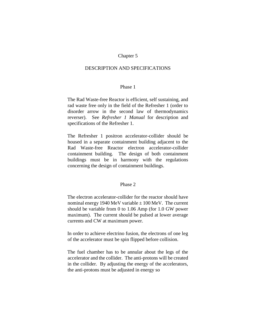#### DESCRIPTION AND SPECIFICATIONS

#### Phase 1

The Rad Waste-free Reactor is efficient, self sustaining, and rad waste free only in the field of the Refresher 1 (order to disorder arrow in the second law of thermodynamics reverser). See *Refresher 1 Manual* for description and specifications of the Refresher 1.

The Refresher 1 positron accelerator-collider should be housed in a separate containment building adjacent to the Rad Waste-free Reactor electron accelerator-collider containment building. The design of both containment buildings must be in harmony with the regulations concerning the design of containment buildings.

#### Phase 2

The electron accelerator-collider for the reactor should have nominal energy 1940 MeV variable  $\pm$  100 MeV. The current should be variable from 0 to 1.06 Amp (for 1.0 GW power maximum). The current should be pulsed at lower average currents and CW at maximum power.

In order to achieve electrino fusion, the electrons of one leg of the accelerator must be spin flipped before collision.

The fuel chamber has to be annular about the legs of the accelerator and the collider. The anti-protons will be created in the collider. By adjusting the energy of the accelerators, the anti-protons must be adjusted in energy so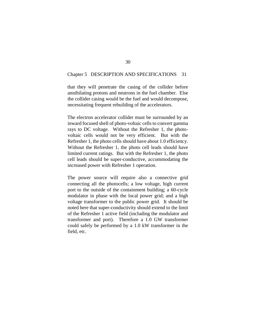#### Chapter 5 DESCRIPTION AND SPECIFICATIONS 31

that they will penetrate the casing of the collider before annihilating protons and neutrons in the fuel chamber. Else the collider casing would be the fuel and would decompose, necessitating frequent rebuilding of the accelerators.

The electron accelerator collider must be surrounded by an inward focused shell of photo-voltaic cells to convert gamma rays to DC voltage. Without the Refresher 1, the photovoltaic cells would not be very efficient. But with the Refresher 1, the photo cells should have about 1.0 efficiency. Without the Refresher 1, the photo cell leads should have limited current ratings. But with the Refresher 1, the photo cell leads should be super-conductive, accommodating the increased power with Refresher 1 operation.

The power source will require also a connective grid connecting all the photocells; a low voltage, high current port to the outside of the containment building; a 60-cycle modulator in phase with the local power grid; and a high voltage transformer to the public power grid. It should be noted here that super-conductivity should extend to the limit of the Refresher 1 active field (including the modulator and transformer and port). Therefore a 1.0 GW transformer could safely be performed by a 1.0 kW transformer in the field, etc.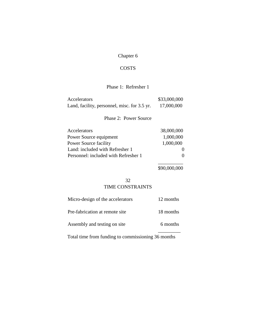# COSTS

# Phase 1: Refresher 1

| Accelerators                                 | \$33,000,000 |
|----------------------------------------------|--------------|
| Land, facility, personnel, misc. for 3.5 yr. | 17,000,000   |

# Phase 2: Power Source

| Accelerators                         | 38,000,000 |
|--------------------------------------|------------|
| Power Source equipment               | 1,000,000  |
| <b>Power Source facility</b>         | 1,000,000  |
| Land: included with Refresher 1      |            |
| Personnel: included with Refresher 1 |            |
|                                      |            |

\$90,000,000

# 32 TIME CONSTRAINTS

| Micro-design of the accelerators | 12 months |
|----------------------------------|-----------|
| Pre-fabrication at remote site   | 18 months |
| Assembly and testing on site     | 6 months  |
|                                  |           |

Total time from funding to commissioning 36 months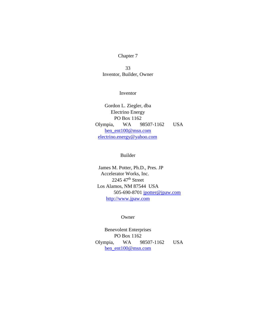33 Inventor, Builder, Owner

#### Inventor

Gordon L. Ziegler, dba Electrino Energy PO Box 1162 Olympia, WA 98507-1162 USA ben\_ent100@msn.com electrino.energy@yahoo.com

#### Builder

James M. Potter, Ph.D., Pres. JP Accelerator Works, Inc.  $2245$  47<sup>th</sup> Street Los Alamos, NM 87544 USA 505-690-8701 jpotter@jpaw.com [http://www.jpaw.com](http://www.jpaw.com/)

#### Owner

Benevolent Enterprises PO Box 1162 Olympia, WA 98507-1162 USA ben\_ent100@msn.com